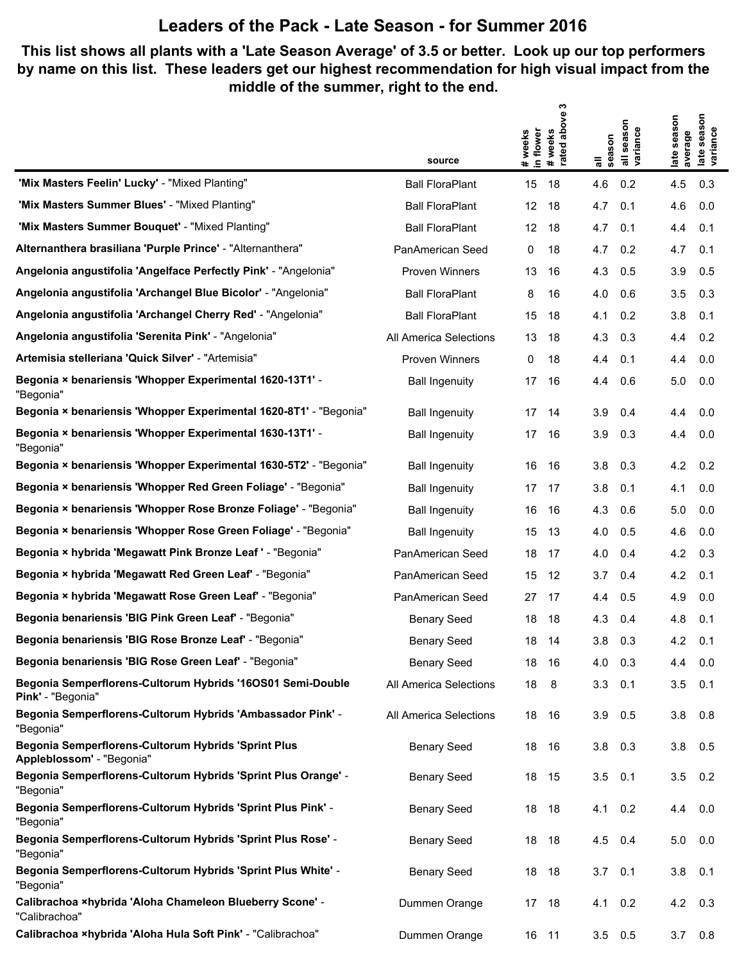#### **This list shows all plants with a 'Late Season Average' of 3.5 or better. Look up our top performers by name on this list. These leaders get our highest recommendation for high visual impact from the middle of the summer, right to the end.**

|                                                                                  |                        |                      | ო               |             |                        |                        |                                 |
|----------------------------------------------------------------------------------|------------------------|----------------------|-----------------|-------------|------------------------|------------------------|---------------------------------|
|                                                                                  |                        | in flower<br># weeks | above<br>#weeks |             | all season<br>variance | late season<br>average | season<br>late seas<br>variance |
|                                                                                  | source                 |                      | rated           | season<br>゠ |                        |                        |                                 |
| 'Mix Masters Feelin' Lucky' - "Mixed Planting"                                   | <b>Ball FloraPlant</b> | 15                   | 18              | 4.6         | 0.2                    | 4.5                    | 0.3                             |
| 'Mix Masters Summer Blues' - "Mixed Planting"                                    | <b>Ball FloraPlant</b> | 12                   | 18              | 4.7         | 0.1                    | 4.6                    | 0.0                             |
| 'Mix Masters Summer Bouquet' - "Mixed Planting"                                  | <b>Ball FloraPlant</b> | 12                   | 18              | 4.7         | 0.1                    | 4.4                    | 0.1                             |
| Alternanthera brasiliana 'Purple Prince' - "Alternanthera"                       | PanAmerican Seed       | 0                    | 18              | 4.7         | 0.2                    | 4.7                    | 0.1                             |
| Angelonia angustifolia 'Angelface Perfectly Pink' - "Angelonia"                  | <b>Proven Winners</b>  | 13                   | 16              | 4.3         | 0.5                    | 3.9                    | 0.5                             |
| Angelonia angustifolia 'Archangel Blue Bicolor' - "Angelonia"                    | <b>Ball FloraPlant</b> | 8                    | 16              | 4.0         | 0.6                    | 3.5                    | 0.3                             |
| Angelonia angustifolia 'Archangel Cherry Red' - "Angelonia"                      | <b>Ball FloraPlant</b> | 15                   | 18              | 4.1         | 0.2                    | 3.8                    | 0.1                             |
| Angelonia angustifolia 'Serenita Pink' - "Angelonia"                             | All America Selections | 13                   | 18              | 4.3         | 0.3                    | 4.4                    | 0.2                             |
| Artemisia stelleriana 'Quick Silver' - "Artemisia"                               | <b>Proven Winners</b>  | 0                    | 18              | 4.4         | 0.1                    | 4.4                    | 0.0                             |
| Begonia × benariensis 'Whopper Experimental 1620-13T1' -<br>"Begonia"            | <b>Ball Ingenuity</b>  | 17                   | 16              | 4.4         | 0.6                    | 5.0                    | 0.0                             |
| Begonia × benariensis 'Whopper Experimental 1620-8T1' - "Begonia"                | <b>Ball Ingenuity</b>  | 17                   | 14              | 3.9         | 0.4                    | 4.4                    | 0.0                             |
| Begonia × benariensis 'Whopper Experimental 1630-13T1' -<br>"Begonia"            | <b>Ball Ingenuity</b>  | 17                   | 16              | 3.9         | 0.3                    | 4.4                    | 0.0                             |
| Begonia × benariensis 'Whopper Experimental 1630-5T2' - "Begonia"                | <b>Ball Ingenuity</b>  | 16                   | 16              | 3.8         | 0.3                    | 4.2                    | 0.2                             |
| Begonia × benariensis 'Whopper Red Green Foliage' - "Begonia"                    | <b>Ball Ingenuity</b>  | 17                   | 17              | 3.8         | 0.1                    | 4.1                    | 0.0                             |
| Begonia × benariensis 'Whopper Rose Bronze Foliage' - "Begonia"                  | <b>Ball Ingenuity</b>  | 16                   | 16              | 4.3         | 0.6                    | 5.0                    | 0.0                             |
| Begonia × benariensis 'Whopper Rose Green Foliage' - "Begonia"                   | <b>Ball Ingenuity</b>  | 15                   | 13              | 4.0         | 0.5                    | 4.6                    | 0.0                             |
| Begonia × hybrida 'Megawatt Pink Bronze Leaf ' - "Begonia"                       | PanAmerican Seed       | 18                   | 17              | 4.0         | 0.4                    | 4.2                    | 0.3                             |
| Begonia × hybrida 'Megawatt Red Green Leaf' - "Begonia"                          | PanAmerican Seed       | 15                   | 12              | 3.7         | 0.4                    | 4.2                    | 0.1                             |
| Begonia × hybrida 'Megawatt Rose Green Leaf' - "Begonia"                         | PanAmerican Seed       | 27                   | 17              | 4.4         | 0.5                    | 4.9                    | 0.0                             |
| Begonia benariensis 'BIG Pink Green Leaf' - "Begonia"                            | <b>Benary Seed</b>     | 18                   | 18              | 4.3         | 0.4                    | 4.8                    | 0.1                             |
| Begonia benariensis 'BIG Rose Bronze Leaf' - "Begonia"                           | <b>Benary Seed</b>     | 18                   | 14              | 3.8         | 0.3                    | 4.2                    | 0.1                             |
| Begonia benariensis 'BIG Rose Green Leaf' - "Begonia"                            | <b>Benary Seed</b>     | 18                   | 16              | 4.0         | 0.3                    | 4.4                    | 0.0                             |
| Begonia Semperflorens-Cultorum Hybrids '16OS01 Semi-Double<br>Pink' - "Begonia"  | All America Selections | 18                   | 8               | 3.3         | 0.1                    | 3.5                    | 0.1                             |
| Begonia Semperflorens-Cultorum Hybrids 'Ambassador Pink' -<br>"Begonia"          | All America Selections | 18                   | 16              | 3.9         | 0.5                    | 3.8                    | 0.8                             |
| Begonia Semperflorens-Cultorum Hybrids 'Sprint Plus<br>Appleblossom' - "Begonia" | <b>Benary Seed</b>     | 18                   | 16              | 3.8         | 0.3                    | 3.8                    | 0.5                             |
| Begonia Semperflorens-Cultorum Hybrids 'Sprint Plus Orange' -<br>"Begonia"       | <b>Benary Seed</b>     | 18                   | 15              | 3.5         | 0.1                    | 3.5                    | 0.2                             |
| Begonia Semperflorens-Cultorum Hybrids 'Sprint Plus Pink' -<br>"Begonia"         | <b>Benary Seed</b>     | 18                   | 18              | 4.1         | 0.2                    | 4.4                    | 0.0                             |
| Begonia Semperflorens-Cultorum Hybrids 'Sprint Plus Rose' -<br>"Begonia"         | <b>Benary Seed</b>     | 18                   | 18              | 4.5         | 0.4                    | 5.0                    | 0.0                             |
| Begonia Semperflorens-Cultorum Hybrids 'Sprint Plus White' -<br>"Begonia"        | <b>Benary Seed</b>     | 18                   | 18              | 3.7         | 0.1                    | 3.8                    | 0.1                             |
| Calibrachoa ×hybrida 'Aloha Chameleon Blueberry Scone' -<br>"Calibrachoa"        | Dummen Orange          | 17                   | 18              | 4.1         | 0.2                    | 4.2                    | 0.3                             |
| Calibrachoa xhybrida 'Aloha Hula Soft Pink' - "Calibrachoa"                      | Dummen Orange          | 16 11                |                 | $3.5$ 0.5   |                        | $3.7$ 0.8              |                                 |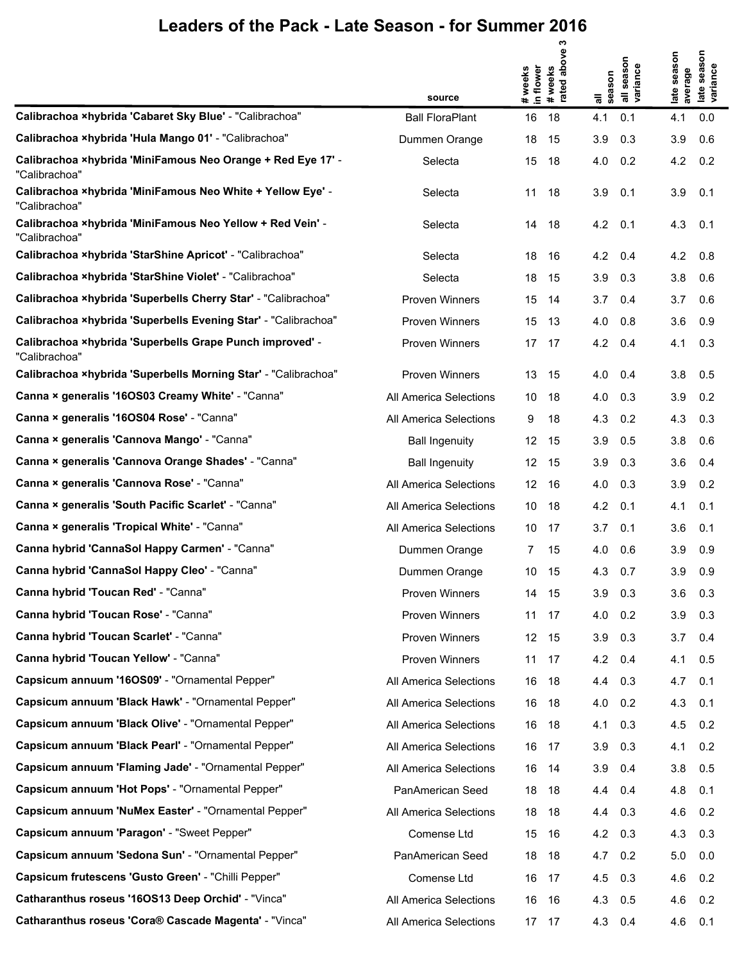|                                                                              | source                 | # weeks<br>in flower | ო<br>above<br># weeks<br>rated abo | season<br>᠊ᢛ | all season<br>variance | season<br>average<br>late | season<br>late seaso<br>variance |
|------------------------------------------------------------------------------|------------------------|----------------------|------------------------------------|--------------|------------------------|---------------------------|----------------------------------|
| Calibrachoa xhybrida 'Cabaret Sky Blue' - "Calibrachoa"                      | <b>Ball FloraPlant</b> | 16                   | 18                                 | 4.1          | 0.1                    | 4.1                       | 0.0                              |
| Calibrachoa ×hybrida 'Hula Mango 01' - "Calibrachoa"                         | Dummen Orange          | 18                   | 15                                 | 3.9          | 0.3                    | 3.9                       | 0.6                              |
| Calibrachoa ×hybrida 'MiniFamous Neo Orange + Red Eye 17' -<br>"Calibrachoa" | Selecta                | 15                   | 18                                 | 4.0          | 0.2                    | 4.2                       | 0.2                              |
| Calibrachoa ×hybrida 'MiniFamous Neo White + Yellow Eye' -<br>"Calibrachoa"  | Selecta                | 11                   | 18                                 | 3.9          | 0.1                    | 3.9                       | 0.1                              |
| Calibrachoa ×hybrida 'MiniFamous Neo Yellow + Red Vein' -<br>"Calibrachoa"   | Selecta                | 14                   | 18                                 | 4.2          | 0.1                    | 4.3                       | 0.1                              |
| Calibrachoa ×hybrida 'StarShine Apricot' - "Calibrachoa"                     | Selecta                | 18                   | 16                                 | 4.2          | 0.4                    | 4.2                       | 0.8                              |
| Calibrachoa ×hybrida 'StarShine Violet' - "Calibrachoa"                      | Selecta                | 18                   | 15                                 | 3.9          | 0.3                    | 3.8                       | 0.6                              |
| Calibrachoa xhybrida 'Superbells Cherry Star' - "Calibrachoa"                | <b>Proven Winners</b>  | 15                   | 14                                 | 3.7          | 0.4                    | 3.7                       | 0.6                              |
| Calibrachoa xhybrida 'Superbells Evening Star' - "Calibrachoa"               | <b>Proven Winners</b>  | 15                   | 13                                 | 4.0          | 0.8                    | 3.6                       | 0.9                              |
| Calibrachoa ×hybrida 'Superbells Grape Punch improved' -<br>"Calibrachoa"    | <b>Proven Winners</b>  | 17                   | 17                                 | 4.2          | 0.4                    | 4.1                       | 0.3                              |
| Calibrachoa xhybrida 'Superbells Morning Star' - "Calibrachoa"               | <b>Proven Winners</b>  | 13                   | 15                                 | 4.0          | 0.4                    | 3.8                       | 0.5                              |
| Canna × generalis '16OS03 Creamy White' - "Canna"                            | All America Selections | 10                   | 18                                 | 4.0          | 0.3                    | 3.9                       | 0.2                              |
| Canna × generalis '16OS04 Rose' - "Canna"                                    | All America Selections | 9                    | 18                                 | 4.3          | 0.2                    | 4.3                       | 0.3                              |
| Canna × generalis 'Cannova Mango' - "Canna"                                  | <b>Ball Ingenuity</b>  | 12                   | 15                                 | 3.9          | 0.5                    | 3.8                       | 0.6                              |
| Canna × generalis 'Cannova Orange Shades' - "Canna"                          | <b>Ball Ingenuity</b>  | 12                   | 15                                 | 3.9          | 0.3                    | 3.6                       | 0.4                              |
| Canna × generalis 'Cannova Rose' - "Canna"                                   | All America Selections | 12                   | 16                                 | 4.0          | 0.3                    | 3.9                       | 0.2                              |
| Canna × generalis 'South Pacific Scarlet' - "Canna"                          | All America Selections | 10                   | 18                                 | 4.2          | 0.1                    | 4.1                       | 0.1                              |
| Canna × generalis 'Tropical White' - "Canna"                                 | All America Selections | 10                   | 17                                 | 3.7          | 0.1                    | 3.6                       | 0.1                              |
| Canna hybrid 'CannaSol Happy Carmen' - "Canna"                               | Dummen Orange          | 7                    | 15                                 | 4.0          | 0.6                    | 3.9                       | 0.9                              |
| Canna hybrid 'CannaSol Happy Cleo' - "Canna"                                 | Dummen Orange          | 10                   | 15                                 | 4.3          | 0.7                    | 3.9                       | 0.9                              |
| Canna hybrid 'Toucan Red' - "Canna"                                          | Proven Winners         | 14                   | 15                                 | 3.9          | 0.3                    | 3.6                       | 0.3                              |
| Canna hybrid 'Toucan Rose' - "Canna"                                         | Proven Winners         | 11                   | 17                                 | 4.0          | 0.2                    | 3.9                       | 0.3                              |
| Canna hybrid 'Toucan Scarlet' - "Canna"                                      | <b>Proven Winners</b>  | 12                   | 15                                 | 3.9          | 0.3                    | 3.7                       | 0.4                              |
| Canna hybrid 'Toucan Yellow' - "Canna"                                       | Proven Winners         | 11                   | 17                                 | 4.2          | 0.4                    | 4.1                       | 0.5                              |
| Capsicum annuum '16OS09' - "Ornamental Pepper"                               | All America Selections | 16                   | 18                                 | 4.4          | 0.3                    | 4.7                       | 0.1                              |
| Capsicum annuum 'Black Hawk' - "Ornamental Pepper"                           | All America Selections | 16                   | 18                                 | 4.0          | 0.2                    | 4.3                       | 0.1                              |
| Capsicum annuum 'Black Olive' - "Ornamental Pepper"                          | All America Selections | 16                   | 18                                 | 4.1          | 0.3                    | 4.5                       | 0.2                              |
| Capsicum annuum 'Black Pearl' - "Ornamental Pepper"                          | All America Selections | 16                   | 17                                 | 3.9          | 0.3                    | 4.1                       | 0.2                              |
| Capsicum annuum 'Flaming Jade' - "Ornamental Pepper"                         | All America Selections | 16                   | 14                                 | 3.9          | 0.4                    | 3.8                       | 0.5                              |
| Capsicum annuum 'Hot Pops' - "Ornamental Pepper"                             | PanAmerican Seed       | 18                   | 18                                 | 4.4          | 0.4                    | 4.8                       | 0.1                              |
| Capsicum annuum 'NuMex Easter' - "Ornamental Pepper"                         | All America Selections | 18                   | 18                                 | 4.4          | 0.3                    | 4.6                       | 0.2                              |
| Capsicum annuum 'Paragon' - "Sweet Pepper"                                   | Comense Ltd            | 15                   | 16                                 | 4.2          | 0.3                    | 4.3                       | 0.3                              |
| Capsicum annuum 'Sedona Sun' - "Ornamental Pepper"                           | PanAmerican Seed       | 18                   | 18                                 | 4.7          | 0.2                    | 5.0                       | 0.0                              |
| Capsicum frutescens 'Gusto Green' - "Chilli Pepper"                          | Comense Ltd            | 16                   | 17                                 | 4.5          | 0.3                    | 4.6                       | 0.2                              |
| Catharanthus roseus '160S13 Deep Orchid' - "Vinca"                           | All America Selections | 16                   | 16                                 | 4.3          | 0.5                    | 4.6                       | 0.2                              |
| Catharanthus roseus 'Cora® Cascade Magenta' - "Vinca"                        | All America Selections | 17                   | 17                                 | 4.3          | 0.4                    | 4.6                       | 0.1                              |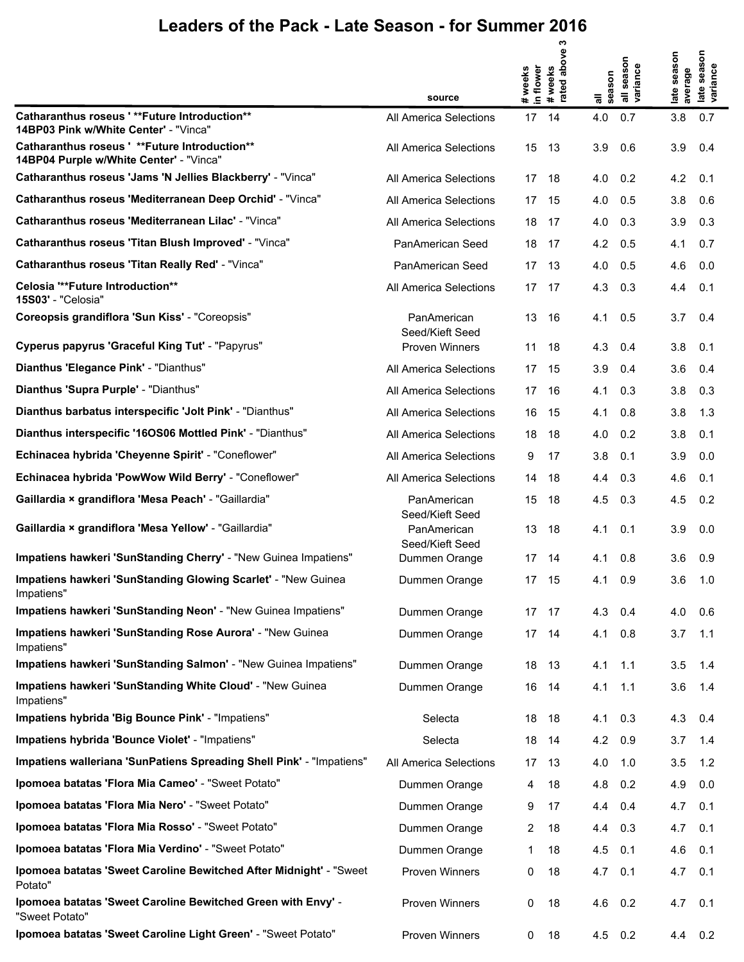|                                                                                           | source                         | in flower<br># weeks | ო<br>above<br># weeks<br>rated abo | all<br>season | all season<br>variance | late season<br>average | season<br>late seaso<br>variance |
|-------------------------------------------------------------------------------------------|--------------------------------|----------------------|------------------------------------|---------------|------------------------|------------------------|----------------------------------|
| Catharanthus roseus ' ** Future Introduction **<br>14BP03 Pink w/White Center' - "Vinca"  | All America Selections         | 17                   | 14                                 | 4.0           | 0.7                    | 3.8                    | 0.7                              |
| Catharanthus roseus ' ** Future Introduction**<br>14BP04 Purple w/White Center' - "Vinca" | All America Selections         | 15                   | 13                                 | 3.9           | 0.6                    | 3.9                    | 0.4                              |
| Catharanthus roseus 'Jams 'N Jellies Blackberry' - "Vinca"                                | All America Selections         | 17                   | 18                                 | 4.0           | 0.2                    | 4.2                    | 0.1                              |
| Catharanthus roseus 'Mediterranean Deep Orchid' - "Vinca"                                 | All America Selections         | 17                   | 15                                 | 4.0           | 0.5                    | 3.8                    | 0.6                              |
| Catharanthus roseus 'Mediterranean Lilac' - "Vinca"                                       | All America Selections         | 18                   | 17                                 | 4.0           | 0.3                    | 3.9                    | 0.3                              |
| Catharanthus roseus 'Titan Blush Improved' - "Vinca"                                      | PanAmerican Seed               | 18                   | 17                                 | 4.2           | 0.5                    | 4.1                    | 0.7                              |
| <b>Catharanthus roseus 'Titan Really Red' - "Vinca"</b>                                   | PanAmerican Seed               | 17                   | 13                                 | 4.0           | 0.5                    | 4.6                    | 0.0                              |
| Celosia "**Future Introduction**<br>15S03' - "Celosia"                                    | All America Selections         | 17                   | 17                                 | 4.3           | 0.3                    | 4.4                    | 0.1                              |
| Coreopsis grandiflora 'Sun Kiss' - "Coreopsis"                                            | PanAmerican<br>Seed/Kieft Seed | 13                   | 16                                 | 4.1           | 0.5                    | 3.7                    | 0.4                              |
| Cyperus papyrus 'Graceful King Tut' - "Papyrus"                                           | <b>Proven Winners</b>          | 11                   | 18                                 | 4.3           | 0.4                    | 3.8                    | 0.1                              |
| Dianthus 'Elegance Pink' - "Dianthus"                                                     | All America Selections         | 17                   | 15                                 | 3.9           | 0.4                    | 3.6                    | 0.4                              |
| Dianthus 'Supra Purple' - "Dianthus"                                                      | All America Selections         | 17                   | 16                                 | 4.1           | 0.3                    | 3.8                    | 0.3                              |
| Dianthus barbatus interspecific 'Jolt Pink' - "Dianthus"                                  | All America Selections         | 16                   | 15                                 | 4.1           | 0.8                    | 3.8                    | 1.3                              |
| Dianthus interspecific '16OS06 Mottled Pink' - "Dianthus"                                 | All America Selections         | 18                   | 18                                 | 4.0           | 0.2                    | 3.8                    | 0.1                              |
| Echinacea hybrida 'Cheyenne Spirit' - "Coneflower"                                        | All America Selections         | 9                    | 17                                 | 3.8           | 0.1                    | 3.9                    | 0.0                              |
| Echinacea hybrida 'PowWow Wild Berry' - "Coneflower"                                      | All America Selections         | 14                   | 18                                 | 4.4           | 0.3                    | 4.6                    | 0.1                              |
| Gaillardia × grandiflora 'Mesa Peach' - "Gaillardia"                                      | PanAmerican<br>Seed/Kieft Seed | 15                   | 18                                 | 4.5           | 0.3                    | 4.5                    | 0.2                              |
| Gaillardia × grandiflora 'Mesa Yellow' - "Gaillardia"                                     | PanAmerican<br>Seed/Kieft Seed | 13                   | 18                                 | 4.1           | 0.1                    | 3.9                    | 0.0                              |
| Impatiens hawkeri 'SunStanding Cherry' - "New Guinea Impatiens"                           | Dummen Orange                  | 17                   | 14                                 | 4.1           | 0.8                    | 3.6                    | 0.9                              |
| Impatiens hawkeri 'SunStanding Glowing Scarlet' - "New Guinea<br>Impatiens"               | Dummen Orange                  | 17                   | 15                                 | 4.1           | 0.9                    | 3.6                    | 1.0                              |
| Impatiens hawkeri 'SunStanding Neon' - "New Guinea Impatiens"                             | Dummen Orange                  | 17                   | 17                                 | 4.3           | 0.4                    | 4.0                    | 0.6                              |
| Impatiens hawkeri 'SunStanding Rose Aurora' - "New Guinea<br>Impatiens"                   | Dummen Orange                  | 17                   | 14                                 | 4.1           | 0.8                    | 3.7                    | 1.1                              |
| Impatiens hawkeri 'SunStanding Salmon' - "New Guinea Impatiens"                           | Dummen Orange                  | 18                   | 13                                 | 4.1           | 1.1                    | 3.5                    | 1.4                              |
| Impatiens hawkeri 'SunStanding White Cloud' - "New Guinea<br>Impatiens"                   | Dummen Orange                  | 16                   | 14                                 | 4.1           | 1.1                    | 3.6                    | 1.4                              |
| Impatiens hybrida 'Big Bounce Pink' - "Impatiens"                                         | Selecta                        | 18                   | 18                                 | 4.1           | 0.3                    | 4.3                    | 0.4                              |
| Impatiens hybrida 'Bounce Violet' - "Impatiens"                                           | Selecta                        | 18                   | 14                                 | 4.2           | 0.9                    | 3.7                    | 1.4                              |
| Impatiens walleriana 'SunPatiens Spreading Shell Pink' - "Impatiens"                      | All America Selections         | 17                   | 13                                 | 4.0           | 1.0                    | 3.5                    | 1.2                              |
| Ipomoea batatas 'Flora Mia Cameo' - "Sweet Potato"                                        | Dummen Orange                  | 4                    | 18                                 | 4.8           | 0.2                    | 4.9                    | 0.0                              |
| Ipomoea batatas 'Flora Mia Nero' - "Sweet Potato"                                         | Dummen Orange                  | 9                    | 17                                 | 4.4           | 0.4                    | 4.7                    | 0.1                              |
| Ipomoea batatas 'Flora Mia Rosso' - "Sweet Potato"                                        | Dummen Orange                  | 2                    | 18                                 | 4.4           | 0.3                    | 4.7                    | 0.1                              |
| Ipomoea batatas 'Flora Mia Verdino' - "Sweet Potato"                                      | Dummen Orange                  | 1                    | 18                                 | 4.5           | 0.1                    | 4.6                    | 0.1                              |
| Ipomoea batatas 'Sweet Caroline Bewitched After Midnight' - "Sweet<br>Potato"             | <b>Proven Winners</b>          | 0                    | 18                                 | 4.7           | 0.1                    | 4.7                    | 0.1                              |
| Ipomoea batatas 'Sweet Caroline Bewitched Green with Envy' -<br>"Sweet Potato"            | Proven Winners                 | 0                    | 18                                 | 4.6           | 0.2                    | 4.7                    | 0.1                              |
| Ipomoea batatas 'Sweet Caroline Light Green' - "Sweet Potato"                             | Proven Winners                 | 0                    | 18                                 | $4.5$ 0.2     |                        | 4.4                    | 0.2                              |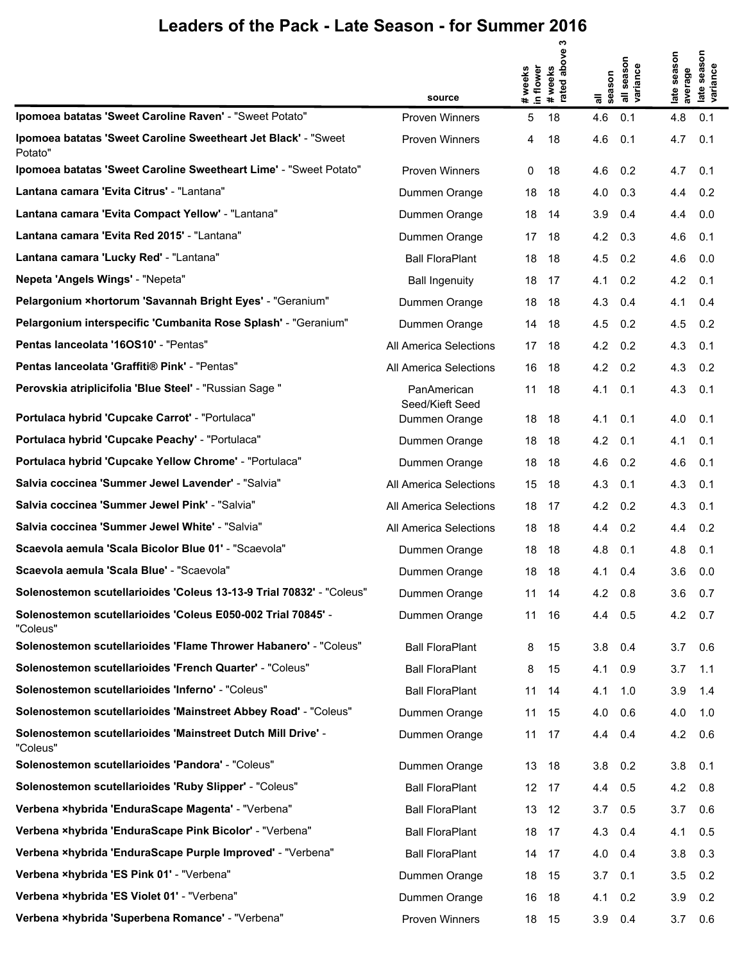|                                                                            | source                         | in flower<br># weeks | ო<br>above<br># weeks<br>rated abo | season<br>᠊ᢛ | all season<br>variance | season<br>average<br>late | season<br>late seas<br>variance |
|----------------------------------------------------------------------------|--------------------------------|----------------------|------------------------------------|--------------|------------------------|---------------------------|---------------------------------|
| Ipomoea batatas 'Sweet Caroline Raven' - "Sweet Potato"                    | <b>Proven Winners</b>          | 5                    | 18                                 | 4.6          | 0.1                    | 4.8                       | 0.1                             |
| Ipomoea batatas 'Sweet Caroline Sweetheart Jet Black' - "Sweet"<br>Potato" | Proven Winners                 | 4                    | 18                                 | 4.6          | 0.1                    | 4.7                       | 0.1                             |
| Ipomoea batatas 'Sweet Caroline Sweetheart Lime' - "Sweet Potato"          | <b>Proven Winners</b>          | 0                    | 18                                 | 4.6          | 0.2                    | 4.7                       | 0.1                             |
| Lantana camara 'Evita Citrus' - "Lantana"                                  | Dummen Orange                  | 18                   | 18                                 | 4.0          | 0.3                    | 4.4                       | 0.2                             |
| Lantana camara 'Evita Compact Yellow' - "Lantana"                          | Dummen Orange                  | 18                   | 14                                 | 3.9          | 0.4                    | 4.4                       | 0.0                             |
| Lantana camara 'Evita Red 2015' - "Lantana"                                | Dummen Orange                  | 17                   | 18                                 | 4.2          | 0.3                    | 4.6                       | 0.1                             |
| Lantana camara 'Lucky Red' - "Lantana"                                     | <b>Ball FloraPlant</b>         | 18                   | 18                                 | 4.5          | 0.2                    | 4.6                       | 0.0                             |
| Nepeta 'Angels Wings' - "Nepeta"                                           | <b>Ball Ingenuity</b>          | 18                   | 17                                 | 4.1          | 0.2                    | 4.2                       | 0.1                             |
| Pelargonium ×hortorum 'Savannah Bright Eyes' - "Geranium"                  | Dummen Orange                  | 18                   | 18                                 | 4.3          | 0.4                    | 4.1                       | 0.4                             |
| Pelargonium interspecific 'Cumbanita Rose Splash' - "Geranium"             | Dummen Orange                  | 14                   | 18                                 | 4.5          | 0.2                    | 4.5                       | 0.2                             |
| Pentas lanceolata '16OS10' - "Pentas"                                      | All America Selections         | 17                   | 18                                 | 4.2          | 0.2                    | 4.3                       | 0.1                             |
| Pentas lanceolata 'Graffiti® Pink' - "Pentas"                              | All America Selections         | 16                   | 18                                 | 4.2          | 0.2                    | 4.3                       | 0.2                             |
| Perovskia atriplicifolia 'Blue Steel' - "Russian Sage "                    | PanAmerican<br>Seed/Kieft Seed | 11                   | 18                                 | 4.1          | 0.1                    | 4.3                       | 0.1                             |
| Portulaca hybrid 'Cupcake Carrot' - "Portulaca"                            | Dummen Orange                  | 18                   | 18                                 | 4.1          | 0.1                    | 4.0                       | 0.1                             |
| Portulaca hybrid 'Cupcake Peachy' - "Portulaca"                            | Dummen Orange                  | 18                   | 18                                 | 4.2          | 0.1                    | 4.1                       | 0.1                             |
| Portulaca hybrid 'Cupcake Yellow Chrome' - "Portulaca"                     | Dummen Orange                  | 18                   | 18                                 | 4.6          | 0.2                    | 4.6                       | 0.1                             |
| Salvia coccinea 'Summer Jewel Lavender' - "Salvia"                         | All America Selections         | 15                   | 18                                 | 4.3          | 0.1                    | 4.3                       | 0.1                             |
| Salvia coccinea 'Summer Jewel Pink' - "Salvia"                             | All America Selections         | 18                   | 17                                 | 4.2          | 0.2                    | 4.3                       | 0.1                             |
| Salvia coccinea 'Summer Jewel White' - "Salvia"                            | All America Selections         | 18                   | 18                                 | 4.4          | 0.2                    | 4.4                       | 0.2                             |
| Scaevola aemula 'Scala Bicolor Blue 01' - "Scaevola"                       | Dummen Orange                  | 18                   | 18                                 | 4.8          | 0.1                    | 4.8                       | 0.1                             |
| Scaevola aemula 'Scala Blue' - "Scaevola"                                  | Dummen Orange                  | 18                   | 18                                 | 4.1          | 0.4                    | 3.6                       | 0.0                             |
| Solenostemon scutellarioides 'Coleus 13-13-9 Trial 70832' - "Coleus"       | Dummen Orange                  | 11                   | - 14                               | 4.2          | 0.8                    | 3.6                       | 0.7                             |
| Solenostemon scutellarioides 'Coleus E050-002 Trial 70845' -<br>"Coleus"   | Dummen Orange                  | 11                   | 16                                 | 4.4          | 0.5                    | 4.2                       | 0.7                             |
| Solenostemon scutellarioides 'Flame Thrower Habanero' - "Coleus"           | <b>Ball FloraPlant</b>         | 8                    | 15                                 | 3.8          | 0.4                    | 3.7                       | 0.6                             |
| Solenostemon scutellarioides 'French Quarter' - "Coleus"                   | <b>Ball FloraPlant</b>         | 8                    | 15                                 | 4.1          | 0.9                    | 3.7                       | 1.1                             |
| Solenostemon scutellarioides 'Inferno' - "Coleus"                          | <b>Ball FloraPlant</b>         | 11                   | 14                                 | 4.1          | 1.0                    | 3.9                       | 1.4                             |
| Solenostemon scutellarioides 'Mainstreet Abbey Road' - "Coleus"            | Dummen Orange                  | 11                   | 15                                 | 4.0          | 0.6                    | 4.0                       | 1.0                             |
| Solenostemon scutellarioides 'Mainstreet Dutch Mill Drive' -<br>"Coleus"   | Dummen Orange                  | 11                   | 17                                 | 4.4          | 0.4                    | 4.2                       | 0.6                             |
| Solenostemon scutellarioides 'Pandora' - "Coleus"                          | Dummen Orange                  | 13                   | 18                                 | 3.8          | 0.2                    | 3.8                       | 0.1                             |
| Solenostemon scutellarioides 'Ruby Slipper' - "Coleus"                     | <b>Ball FloraPlant</b>         |                      | 12 17                              | 4.4          | 0.5                    | 4.2                       | 0.8                             |
| Verbena ×hybrida 'EnduraScape Magenta' - "Verbena"                         | <b>Ball FloraPlant</b>         | 13                   | 12                                 | 3.7          | 0.5                    | 3.7                       | 0.6                             |
| Verbena ×hybrida 'EnduraScape Pink Bicolor' - "Verbena"                    | <b>Ball FloraPlant</b>         | 18                   | -17                                | 4.3          | 0.4                    | 4.1                       | 0.5                             |
| Verbena ×hybrida 'EnduraScape Purple Improved' - "Verbena"                 | <b>Ball FloraPlant</b>         | 14                   | 17                                 | 4.0          | 0.4                    | 3.8                       | 0.3                             |
| Verbena ×hybrida 'ES Pink 01' - "Verbena"                                  | Dummen Orange                  | 18                   | 15                                 | 3.7          | 0.1                    | 3.5                       | 0.2                             |
| Verbena ×hybrida 'ES Violet 01' - "Verbena"                                | Dummen Orange                  | 16                   | 18                                 | 4.1          | 0.2                    | 3.9                       | 0.2                             |
| Verbena ×hybrida 'Superbena Romance' - "Verbena"                           | Proven Winners                 |                      | 18 15                              | $3.9$ 0.4    |                        | 3.7                       | 0.6                             |